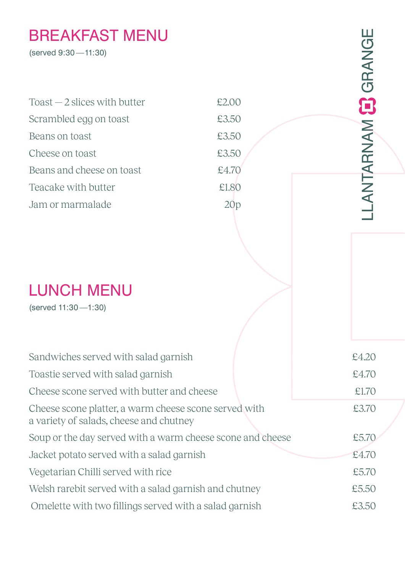## BREAKFAST MENU

| <b>BREAKFAST MENU</b><br>(served 9:30 - 11:30)                                                   |       | LANTARNAM CORANGE |
|--------------------------------------------------------------------------------------------------|-------|-------------------|
| $\text{Toast} - 2$ slices with butter                                                            | £2.00 |                   |
| Scrambled egg on toast                                                                           | £3.50 |                   |
| Beans on toast                                                                                   | £3.50 |                   |
| Cheese on toast                                                                                  | £3.50 |                   |
| Beans and cheese on toast                                                                        | £4.70 |                   |
| Teacake with butter                                                                              | £1.80 |                   |
| Jam or marmalade                                                                                 | 20p   |                   |
|                                                                                                  |       |                   |
| <b>LUNCH MENU</b><br>(served 11:30-1:30)                                                         |       |                   |
| Sandwiches served with salad garnish                                                             |       | £4.20             |
| Toastie served with salad garnish                                                                |       | £4.70             |
| Cheese scone served with butter and cheese                                                       |       | £1,70             |
| Cheese scone platter, a warm cheese scone served with<br>a variety of salads, cheese and chutney |       | £3.70             |
| Soup or the day served with a warm cheese scone and cheese                                       |       | £5.70             |
| Jacket potato served with a salad garnish                                                        |       | £4.70             |
| Vegetarian Chilli served with rice                                                               |       | £5.70             |
| Welsh rarebit served with a salad garnish and chutney                                            |       | £5.50             |
| Omelette with two fillings served with a salad garnish                                           |       | £3.50             |